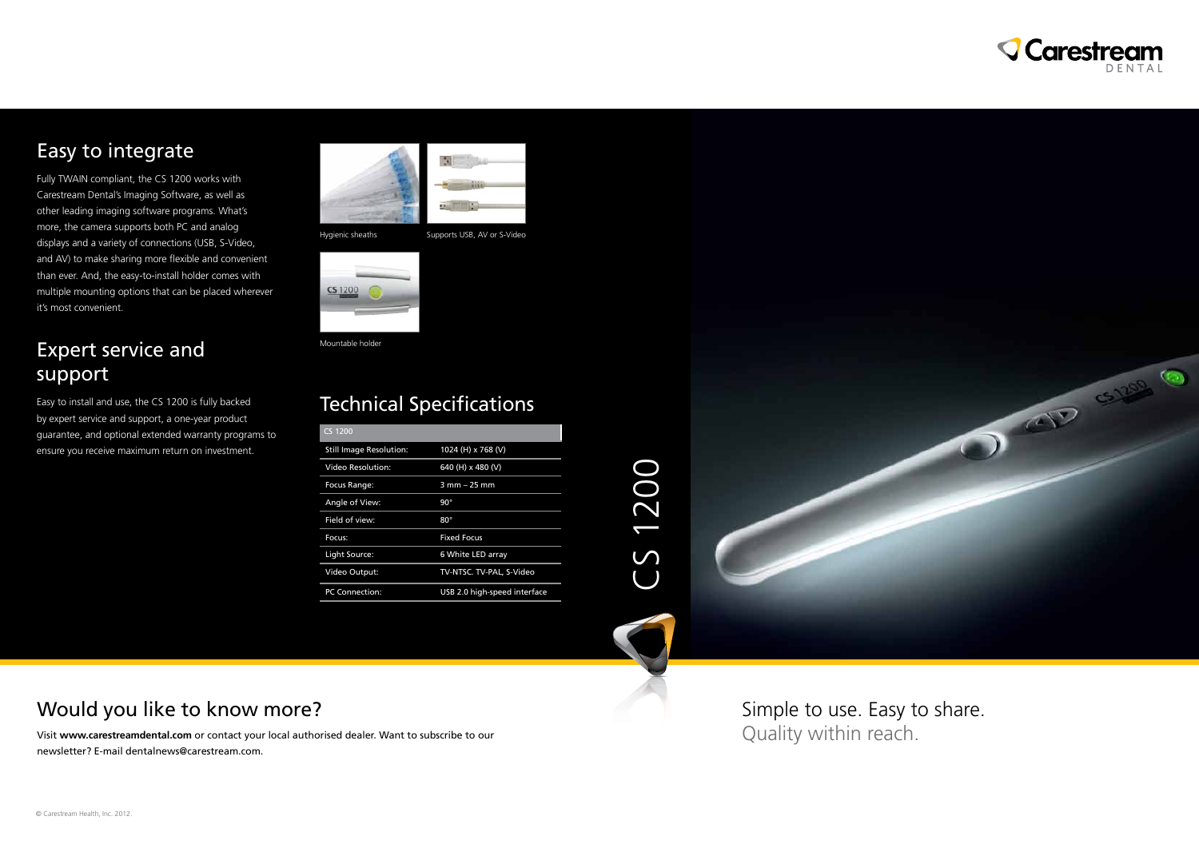





## Easy to integrate

Fully TWAIN compliant, the CS 1200 works with Carestream Dental's Imaging Software, as well as other leading imaging software programs. What's more, the camera supports both PC and analog displays and a variety of connections (USB, S-Video, and AV) to make sharing more flexible and convenient than ever. And, the easy-to-install holder comes with multiple mounting options that can be placed wherever it's most convenient.

### Expert service and support

Easy to install and use, the CS 1200 is fully backed by expert service and support, a one-year product guarantee, and optional extended warranty programs to ensure you receive maximum return on investment.



### Would you like to know more?

Visit **www.carestreamdental.com** or contact your local authorised dealer. Want to subscribe to our newsletter? E-mail dentalnews@carestream.com.

Simple to use. Easy to share. Quality within reach.

# Technical Specifications

| <b>CS 1200</b>                 |                              |
|--------------------------------|------------------------------|
| <b>Still Image Resolution:</b> | 1024 (H) x 768 (V)           |
| Video Resolution:              | 640 (H) x 480 (V)            |
| Focus Range:                   | $3$ mm $-$ 25 mm             |
| Angle of View:                 | $90^{\circ}$                 |
| Field of view:                 | $80^\circ$                   |
| Focus:                         | <b>Fixed Focus</b>           |
| Light Source:                  | 6 White LED array            |
| Video Output:                  | TV-NTSC. TV-PAL, S-Video     |
| <b>PC Connection:</b>          | USB 2.0 high-speed interface |



Mountable holder